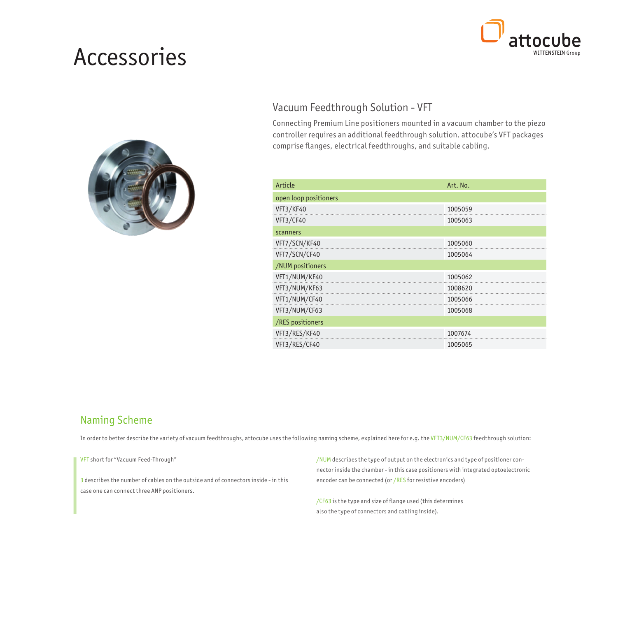# Accessories





#### Vacuum Feedthrough Solution - VFT

Connecting Premium Line positioners mounted in a vacuum chamber to the piezo controller requires an additional feedthrough solution. attocube's VFT packages comprise flanges, electrical feedthroughs, and suitable cabling.

| Article               | Art. No. |
|-----------------------|----------|
| open loop positioners |          |
| VFT3/KF40             | 1005059  |
| VFT3/CF40             | 1005063  |
| scanners              |          |
| VFT7/SCN/KF40         | 1005060  |
| VFT7/SCN/CF40         | 1005064  |
| /NUM positioners      |          |
| VFT1/NUM/KF40         | 1005062  |
| VFT3/NUM/KF63         | 1008620  |
| VFT1/NUM/CF40         | 1005066  |
| VFT3/NUM/CF63         | 1005068  |
| /RES positioners      |          |
| VFT3/RES/KF40         | 1007674  |
| VFT3/RES/CF40         | 1005065  |

#### Naming Scheme

In order to better describe the variety of vacuum feedthroughs, attocube uses the following naming scheme, explained here for e.g. the VFT3/NUM/CF63 feedthrough solution:

VFT short for "Vacuum Feed-Through"

3 describes the number of cables on the outside and of connectors inside - in this case one can connect three ANP positioners.

/NUM describes the type of output on the electronics and type of positioner connector inside the chamber - in this case positioners with integrated optoelectronic encoder can be connected (or /RES for resistive encoders)

/CF63 is the type and size of flange used (this determines also the type of connectors and cabling inside).